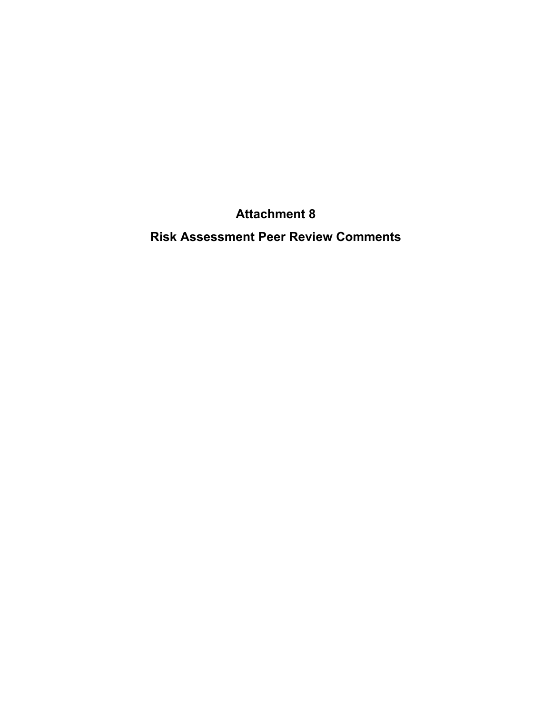**Attachment 8** 

**Risk Assessment Peer Review Comments**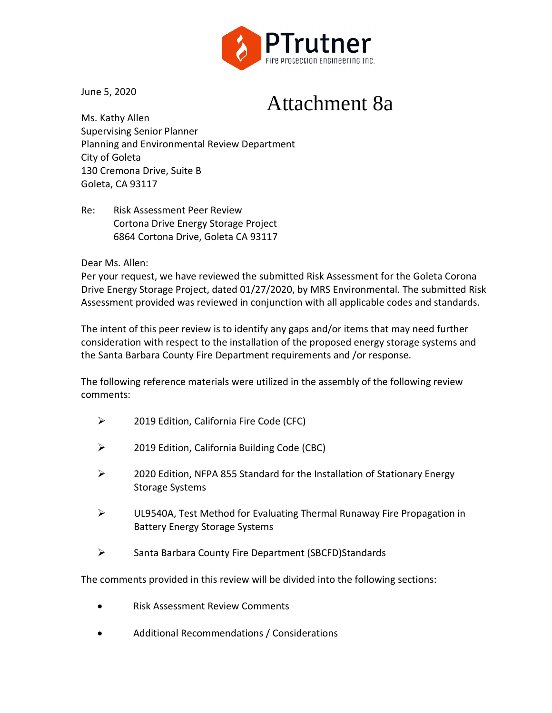

June 5, 2020

# Attachment 8a

Ms. Kathy Allen Supervising Senior Planner Planning and Environmental Review Department City of Goleta 130 Cremona Drive, Suite B Goleta, CA 93117

Re: Risk Assessment Peer Review Cortona Drive Energy Storage Project 6864 Cortona Drive, Goleta CA 93117

Dear Ms. Allen:

Per your request, we have reviewed the submitted Risk Assessment for the Goleta Corona Drive Energy Storage Project, dated 01/27/2020, by MRS Environmental. The submitted Risk Assessment provided was reviewed in conjunction with all applicable codes and standards.

The intent of this peer review is to identify any gaps and/or items that may need further consideration with respect to the installation of the proposed energy storage systems and the Santa Barbara County Fire Department requirements and /or response.

The following reference materials were utilized in the assembly of the following review comments:

- 2019 Edition, California Fire Code (CFC)
- 2019 Edition, California Building Code (CBC)
- $\geq$  2020 Edition, NFPA 855 Standard for the Installation of Stationary Energy Storage Systems
- UL9540A, Test Method for Evaluating Thermal Runaway Fire Propagation in Battery Energy Storage Systems
- Santa Barbara County Fire Department (SBCFD)Standards

The comments provided in this review will be divided into the following sections:

- Risk Assessment Review Comments
- Additional Recommendations / Considerations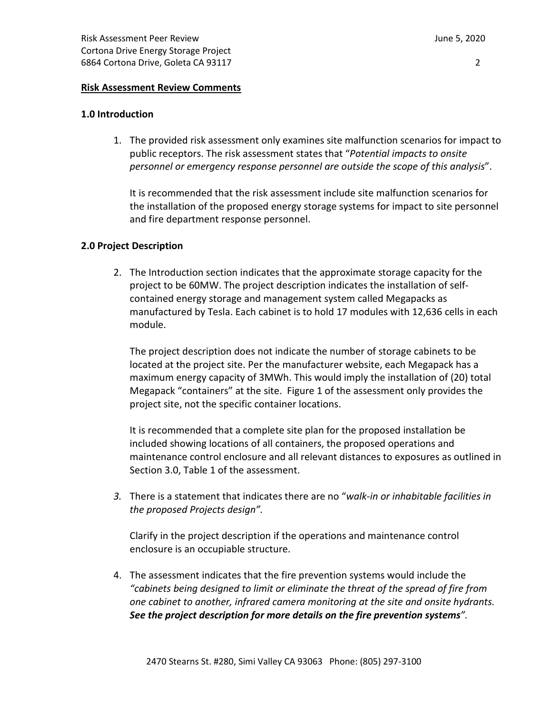# **Risk Assessment Review Comments**

# **1.0 Introduction**

1. The provided risk assessment only examines site malfunction scenarios for impact to public receptors. The risk assessment states that "*Potential impacts to onsite personnel or emergency response personnel are outside the scope of this analysis*".

It is recommended that the risk assessment include site malfunction scenarios for the installation of the proposed energy storage systems for impact to site personnel and fire department response personnel.

# **2.0 Project Description**

2. The Introduction section indicates that the approximate storage capacity for the project to be 60MW. The project description indicates the installation of selfcontained energy storage and management system called Megapacks as manufactured by Tesla. Each cabinet is to hold 17 modules with 12,636 cells in each module.

The project description does not indicate the number of storage cabinets to be located at the project site. Per the manufacturer website, each Megapack has a maximum energy capacity of 3MWh. This would imply the installation of (20) total Megapack "containers" at the site. Figure 1 of the assessment only provides the project site, not the specific container locations.

It is recommended that a complete site plan for the proposed installation be included showing locations of all containers, the proposed operations and maintenance control enclosure and all relevant distances to exposures as outlined in Section 3.0, Table 1 of the assessment.

*3.* There is a statement that indicates there are no "*walk-in or inhabitable facilities in the proposed Projects design".* 

Clarify in the project description if the operations and maintenance control enclosure is an occupiable structure.

4. The assessment indicates that the fire prevention systems would include the *"cabinets being designed to limit or eliminate the threat of the spread of fire from one cabinet to another, infrared camera monitoring at the site and onsite hydrants. See the project description for more details on the fire prevention systems".*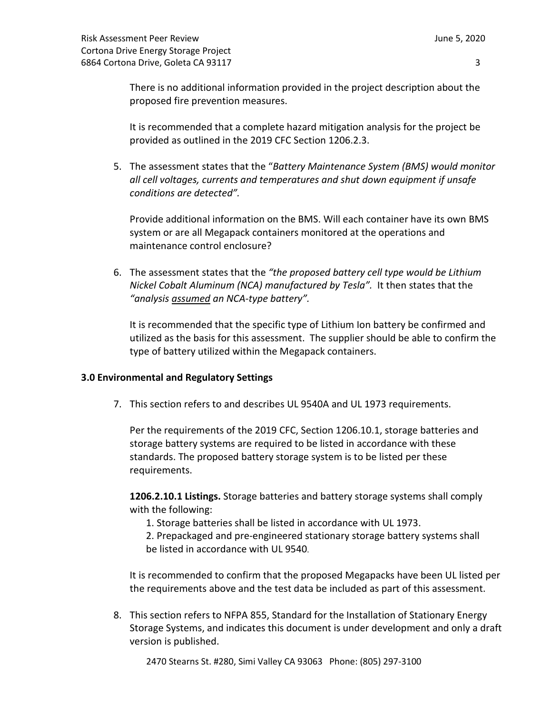There is no additional information provided in the project description about the proposed fire prevention measures.

It is recommended that a complete hazard mitigation analysis for the project be provided as outlined in the 2019 CFC Section 1206.2.3.

5. The assessment states that the "*Battery Maintenance System (BMS) would monitor all cell voltages, currents and temperatures and shut down equipment if unsafe conditions are detected".*

Provide additional information on the BMS. Will each container have its own BMS system or are all Megapack containers monitored at the operations and maintenance control enclosure?

6. The assessment states that the *"the proposed battery cell type would be Lithium Nickel Cobalt Aluminum (NCA) manufactured by Tesla".* It then states that the *"analysis assumed an NCA-type battery".*

It is recommended that the specific type of Lithium Ion battery be confirmed and utilized as the basis for this assessment. The supplier should be able to confirm the type of battery utilized within the Megapack containers.

# **3.0 Environmental and Regulatory Settings**

7. This section refers to and describes UL 9540A and UL 1973 requirements.

Per the requirements of the 2019 CFC, Section 1206.10.1, storage batteries and storage battery systems are required to be listed in accordance with these standards. The proposed battery storage system is to be listed per these requirements.

**1206.2.10.1 Listings.** Storage batteries and battery storage systems shall comply with the following:

1. Storage batteries shall be listed in accordance with UL 1973.

2. Prepackaged and pre-engineered stationary storage battery systems shall be listed in accordance with UL 9540.

It is recommended to confirm that the proposed Megapacks have been UL listed per the requirements above and the test data be included as part of this assessment.

8. This section refers to NFPA 855, Standard for the Installation of Stationary Energy Storage Systems, and indicates this document is under development and only a draft version is published.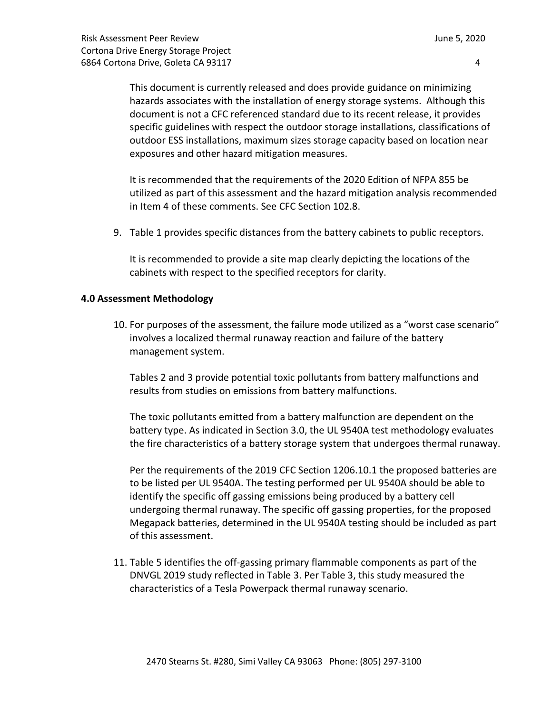This document is currently released and does provide guidance on minimizing hazards associates with the installation of energy storage systems. Although this document is not a CFC referenced standard due to its recent release, it provides specific guidelines with respect the outdoor storage installations, classifications of outdoor ESS installations, maximum sizes storage capacity based on location near exposures and other hazard mitigation measures.

It is recommended that the requirements of the 2020 Edition of NFPA 855 be utilized as part of this assessment and the hazard mitigation analysis recommended in Item 4 of these comments. See CFC Section 102.8.

9. Table 1 provides specific distances from the battery cabinets to public receptors.

It is recommended to provide a site map clearly depicting the locations of the cabinets with respect to the specified receptors for clarity.

# **4.0 Assessment Methodology**

10. For purposes of the assessment, the failure mode utilized as a "worst case scenario" involves a localized thermal runaway reaction and failure of the battery management system.

Tables 2 and 3 provide potential toxic pollutants from battery malfunctions and results from studies on emissions from battery malfunctions.

The toxic pollutants emitted from a battery malfunction are dependent on the battery type. As indicated in Section 3.0, the UL 9540A test methodology evaluates the fire characteristics of a battery storage system that undergoes thermal runaway.

Per the requirements of the 2019 CFC Section 1206.10.1 the proposed batteries are to be listed per UL 9540A. The testing performed per UL 9540A should be able to identify the specific off gassing emissions being produced by a battery cell undergoing thermal runaway. The specific off gassing properties, for the proposed Megapack batteries, determined in the UL 9540A testing should be included as part of this assessment.

11. Table 5 identifies the off-gassing primary flammable components as part of the DNVGL 2019 study reflected in Table 3. Per Table 3, this study measured the characteristics of a Tesla Powerpack thermal runaway scenario.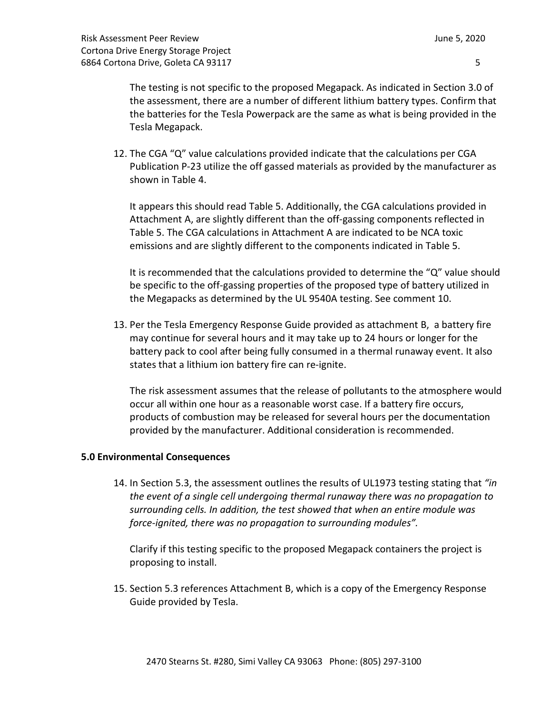The testing is not specific to the proposed Megapack. As indicated in Section 3.0 of the assessment, there are a number of different lithium battery types. Confirm that the batteries for the Tesla Powerpack are the same as what is being provided in the Tesla Megapack.

12. The CGA "Q" value calculations provided indicate that the calculations per CGA Publication P-23 utilize the off gassed materials as provided by the manufacturer as shown in Table 4.

It appears this should read Table 5. Additionally, the CGA calculations provided in Attachment A, are slightly different than the off-gassing components reflected in Table 5. The CGA calculations in Attachment A are indicated to be NCA toxic emissions and are slightly different to the components indicated in Table 5.

It is recommended that the calculations provided to determine the "Q" value should be specific to the off-gassing properties of the proposed type of battery utilized in the Megapacks as determined by the UL 9540A testing. See comment 10.

13. Per the Tesla Emergency Response Guide provided as attachment B, a battery fire may continue for several hours and it may take up to 24 hours or longer for the battery pack to cool after being fully consumed in a thermal runaway event. It also states that a lithium ion battery fire can re-ignite.

The risk assessment assumes that the release of pollutants to the atmosphere would occur all within one hour as a reasonable worst case. If a battery fire occurs, products of combustion may be released for several hours per the documentation provided by the manufacturer. Additional consideration is recommended.

# **5.0 Environmental Consequences**

14. In Section 5.3, the assessment outlines the results of UL1973 testing stating that *"in the event of a single cell undergoing thermal runaway there was no propagation to surrounding cells. In addition, the test showed that when an entire module was force-ignited, there was no propagation to surrounding modules".*

Clarify if this testing specific to the proposed Megapack containers the project is proposing to install.

15. Section 5.3 references Attachment B, which is a copy of the Emergency Response Guide provided by Tesla.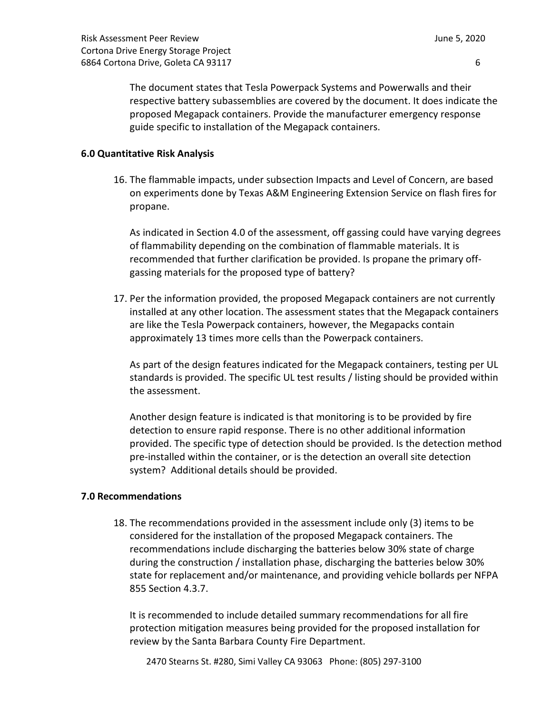The document states that Tesla Powerpack Systems and Powerwalls and their respective battery subassemblies are covered by the document. It does indicate the proposed Megapack containers. Provide the manufacturer emergency response guide specific to installation of the Megapack containers.

# **6.0 Quantitative Risk Analysis**

16. The flammable impacts, under subsection Impacts and Level of Concern, are based on experiments done by Texas A&M Engineering Extension Service on flash fires for propane.

As indicated in Section 4.0 of the assessment, off gassing could have varying degrees of flammability depending on the combination of flammable materials. It is recommended that further clarification be provided. Is propane the primary offgassing materials for the proposed type of battery?

17. Per the information provided, the proposed Megapack containers are not currently installed at any other location. The assessment states that the Megapack containers are like the Tesla Powerpack containers, however, the Megapacks contain approximately 13 times more cells than the Powerpack containers.

As part of the design features indicated for the Megapack containers, testing per UL standards is provided. The specific UL test results / listing should be provided within the assessment.

Another design feature is indicated is that monitoring is to be provided by fire detection to ensure rapid response. There is no other additional information provided. The specific type of detection should be provided. Is the detection method pre-installed within the container, or is the detection an overall site detection system? Additional details should be provided.

# **7.0 Recommendations**

18. The recommendations provided in the assessment include only (3) items to be considered for the installation of the proposed Megapack containers. The recommendations include discharging the batteries below 30% state of charge during the construction / installation phase, discharging the batteries below 30% state for replacement and/or maintenance, and providing vehicle bollards per NFPA 855 Section 4.3.7.

It is recommended to include detailed summary recommendations for all fire protection mitigation measures being provided for the proposed installation for review by the Santa Barbara County Fire Department.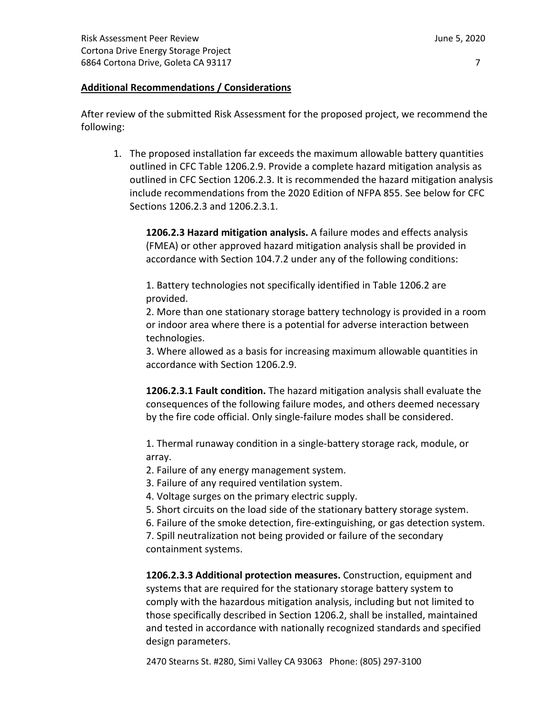# **Additional Recommendations / Considerations**

After review of the submitted Risk Assessment for the proposed project, we recommend the following:

1. The proposed installation far exceeds the maximum allowable battery quantities outlined in CFC Table 1206.2.9. Provide a complete hazard mitigation analysis as outlined in CFC Section 1206.2.3. It is recommended the hazard mitigation analysis include recommendations from the 2020 Edition of NFPA 855. See below for CFC Sections 1206.2.3 and 1206.2.3.1.

**1206.2.3 Hazard mitigation analysis.** A failure modes and effects analysis (FMEA) or other approved hazard mitigation analysis shall be provided in accordance with Section 104.7.2 under any of the following conditions:

1. Battery technologies not specifically identified in Table 1206.2 are provided.

2. More than one stationary storage battery technology is provided in a room or indoor area where there is a potential for adverse interaction between technologies.

3. Where allowed as a basis for increasing maximum allowable quantities in accordance with Section 1206.2.9.

**1206.2.3.1 Fault condition.** The hazard mitigation analysis shall evaluate the consequences of the following failure modes, and others deemed necessary by the fire code official. Only single-failure modes shall be considered.

1. Thermal runaway condition in a single-battery storage rack, module, or array.

- 2. Failure of any energy management system.
- 3. Failure of any required ventilation system.
- 4. Voltage surges on the primary electric supply.
- 5. Short circuits on the load side of the stationary battery storage system.
- 6. Failure of the smoke detection, fire-extinguishing, or gas detection system.

7. Spill neutralization not being provided or failure of the secondary containment systems.

**1206.2.3.3 Additional protection measures.** Construction, equipment and systems that are required for the stationary storage battery system to comply with the hazardous mitigation analysis, including but not limited to those specifically described in Section 1206.2, shall be installed, maintained and tested in accordance with nationally recognized standards and specified design parameters.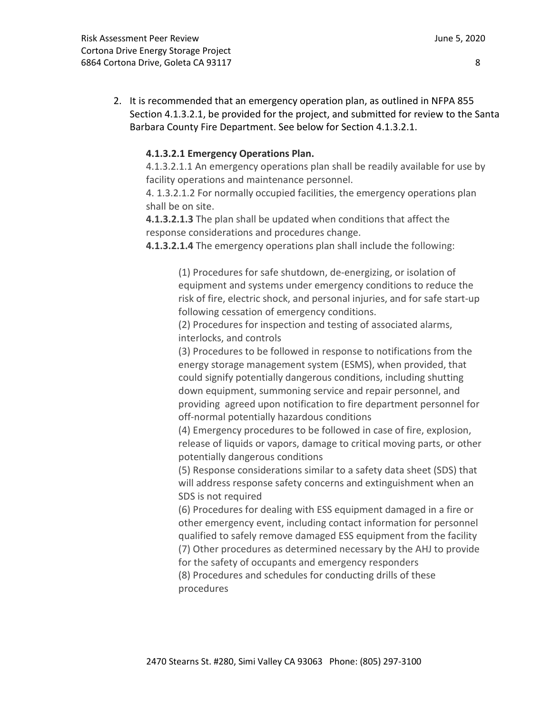2. It is recommended that an emergency operation plan, as outlined in NFPA 855 Section 4.1.3.2.1, be provided for the project, and submitted for review to the Santa Barbara County Fire Department. See below for Section 4.1.3.2.1.

# **4.1.3.2.1 Emergency Operations Plan.**

4.1.3.2.1.1 An emergency operations plan shall be readily available for use by facility operations and maintenance personnel.

4. 1.3.2.1.2 For normally occupied facilities, the emergency operations plan shall be on site.

**4.1.3.2.1.3** The plan shall be updated when conditions that affect the response considerations and procedures change.

**4.1.3.2.1.4** The emergency operations plan shall include the following:

(1) Procedures for safe shutdown, de-energizing, or isolation of equipment and systems under emergency conditions to reduce the risk of fire, electric shock, and personal injuries, and for safe start-up following cessation of emergency conditions.

(2) Procedures for inspection and testing of associated alarms, interlocks, and controls

(3) Procedures to be followed in response to notifications from the energy storage management system (ESMS), when provided, that could signify potentially dangerous conditions, including shutting down equipment, summoning service and repair personnel, and providing agreed upon notification to fire department personnel for off-normal potentially hazardous conditions

(4) Emergency procedures to be followed in case of fire, explosion, release of liquids or vapors, damage to critical moving parts, or other potentially dangerous conditions

(5) Response considerations similar to a safety data sheet (SDS) that will address response safety concerns and extinguishment when an SDS is not required

(6) Procedures for dealing with ESS equipment damaged in a fire or other emergency event, including contact information for personnel qualified to safely remove damaged ESS equipment from the facility (7) Other procedures as determined necessary by the AHJ to provide

for the safety of occupants and emergency responders

(8) Procedures and schedules for conducting drills of these procedures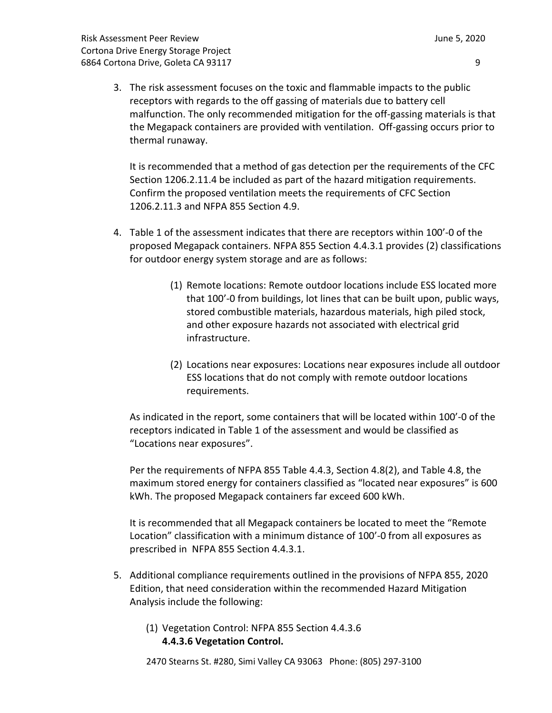- 
- 3. The risk assessment focuses on the toxic and flammable impacts to the public receptors with regards to the off gassing of materials due to battery cell malfunction. The only recommended mitigation for the off-gassing materials is that the Megapack containers are provided with ventilation. Off-gassing occurs prior to thermal runaway.

It is recommended that a method of gas detection per the requirements of the CFC Section 1206.2.11.4 be included as part of the hazard mitigation requirements. Confirm the proposed ventilation meets the requirements of CFC Section 1206.2.11.3 and NFPA 855 Section 4.9.

- 4. Table 1 of the assessment indicates that there are receptors within 100'-0 of the proposed Megapack containers. NFPA 855 Section 4.4.3.1 provides (2) classifications for outdoor energy system storage and are as follows:
	- (1) Remote locations: Remote outdoor locations include ESS located more that 100'-0 from buildings, lot lines that can be built upon, public ways, stored combustible materials, hazardous materials, high piled stock, and other exposure hazards not associated with electrical grid infrastructure.
	- (2) Locations near exposures: Locations near exposures include all outdoor ESS locations that do not comply with remote outdoor locations requirements.

As indicated in the report, some containers that will be located within 100'-0 of the receptors indicated in Table 1 of the assessment and would be classified as "Locations near exposures".

Per the requirements of NFPA 855 Table 4.4.3, Section 4.8(2), and Table 4.8, the maximum stored energy for containers classified as "located near exposures" is 600 kWh. The proposed Megapack containers far exceed 600 kWh.

It is recommended that all Megapack containers be located to meet the "Remote Location" classification with a minimum distance of 100'-0 from all exposures as prescribed in NFPA 855 Section 4.4.3.1.

- 5. Additional compliance requirements outlined in the provisions of NFPA 855, 2020 Edition, that need consideration within the recommended Hazard Mitigation Analysis include the following:
	- (1) Vegetation Control: NFPA 855 Section 4.4.3.6 **4.4.3.6 Vegetation Control.**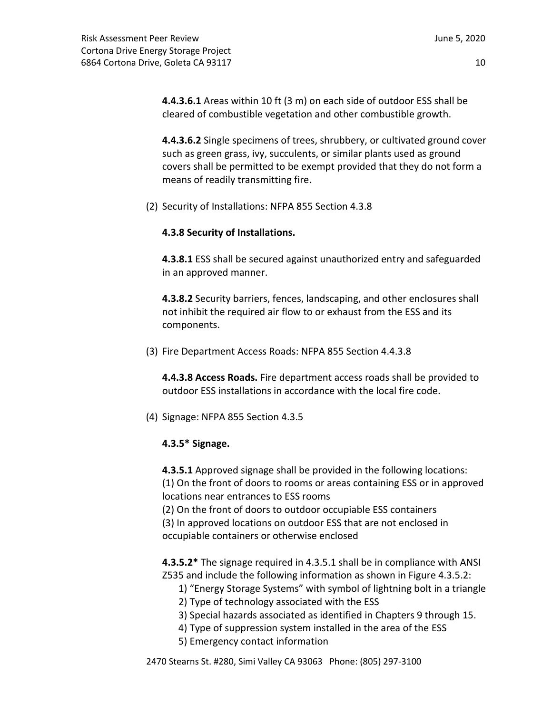**4.4.3.6.1** Areas within 10 ft (3 m) on each side of outdoor ESS shall be cleared of combustible vegetation and other combustible growth.

**4.4.3.6.2** Single specimens of trees, shrubbery, or cultivated ground cover such as green grass, ivy, succulents, or similar plants used as ground covers shall be permitted to be exempt provided that they do not form a means of readily transmitting fire.

(2) Security of Installations: NFPA 855 Section 4.3.8

# **4.3.8 Security of Installations.**

**4.3.8.1** ESS shall be secured against unauthorized entry and safeguarded in an approved manner.

**4.3.8.2** Security barriers, fences, landscaping, and other enclosures shall not inhibit the required air flow to or exhaust from the ESS and its components.

(3) Fire Department Access Roads: NFPA 855 Section 4.4.3.8

**4.4.3.8 Access Roads.** Fire department access roads shall be provided to outdoor ESS installations in accordance with the local fire code.

(4) Signage: NFPA 855 Section 4.3.5

# **4.3.5\* Signage.**

**4.3.5.1** Approved signage shall be provided in the following locations:

(1) On the front of doors to rooms or areas containing ESS or in approved locations near entrances to ESS rooms

- (2) On the front of doors to outdoor occupiable ESS containers
- (3) In approved locations on outdoor ESS that are not enclosed in occupiable containers or otherwise enclosed

**4.3.5.2\*** The signage required in 4.3.5.1 shall be in compliance with ANSI Z535 and include the following information as shown in Figure 4.3.5.2:

- 1) "Energy Storage Systems" with symbol of lightning bolt in a triangle
- 2) Type of technology associated with the ESS
- 3) Special hazards associated as identified in Chapters 9 through 15.
- 4) Type of suppression system installed in the area of the ESS
- 5) Emergency contact information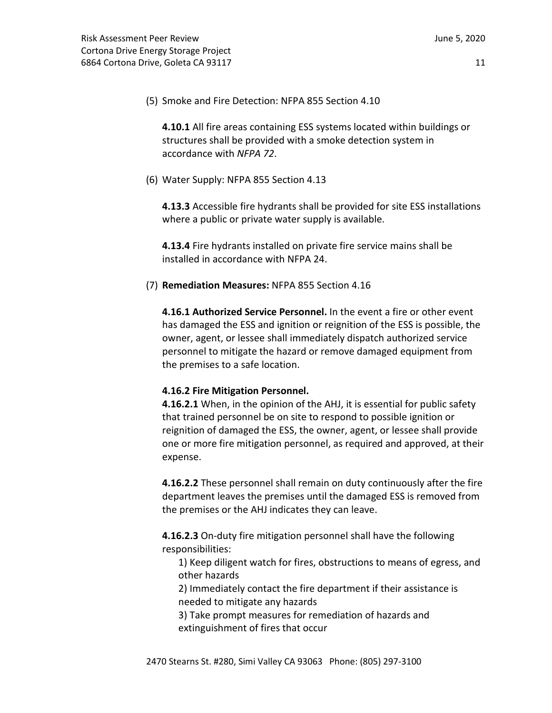(5) Smoke and Fire Detection: NFPA 855 Section 4.10

**4.10.1** All fire areas containing ESS systems located within buildings or structures shall be provided with a smoke detection system in accordance with *NFPA 72*.

(6) Water Supply: NFPA 855 Section 4.13

**4.13.3** Accessible fire hydrants shall be provided for site ESS installations where a public or private water supply is available.

**4.13.4** Fire hydrants installed on private fire service mains shall be installed in accordance with NFPA 24.

(7) **Remediation Measures:** NFPA 855 Section 4.16

**4.16.1 Authorized Service Personnel.** In the event a fire or other event has damaged the ESS and ignition or reignition of the ESS is possible, the owner, agent, or lessee shall immediately dispatch authorized service personnel to mitigate the hazard or remove damaged equipment from the premises to a safe location.

# **4.16.2 Fire Mitigation Personnel.**

**4.16.2.1** When, in the opinion of the AHJ, it is essential for public safety that trained personnel be on site to respond to possible ignition or reignition of damaged the ESS, the owner, agent, or lessee shall provide one or more fire mitigation personnel, as required and approved, at their expense.

**4.16.2.2** These personnel shall remain on duty continuously after the fire department leaves the premises until the damaged ESS is removed from the premises or the AHJ indicates they can leave.

**4.16.2.3** On-duty fire mitigation personnel shall have the following responsibilities:

1) Keep diligent watch for fires, obstructions to means of egress, and other hazards

2) Immediately contact the fire department if their assistance is needed to mitigate any hazards

3) Take prompt measures for remediation of hazards and extinguishment of fires that occur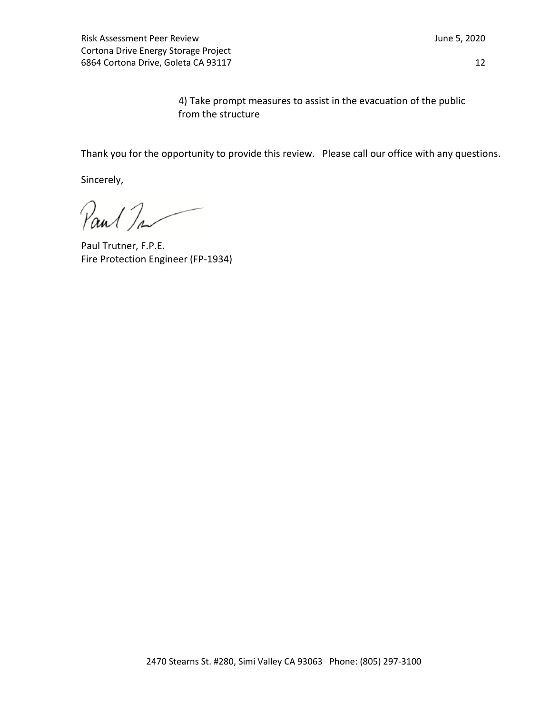Risk Assessment Peer Review **June 5, 2020** Cortona Drive Energy Storage Project 6864 Cortona Drive, Goleta CA 93117 12

4) Take prompt measures to assist in the evacuation of the public from the structure

Thank you for the opportunity to provide this review. Please call our office with any questions.

Sincerely,

Paul Ta

Paul Trutner, F.P.E. Fire Protection Engineer (FP-1934)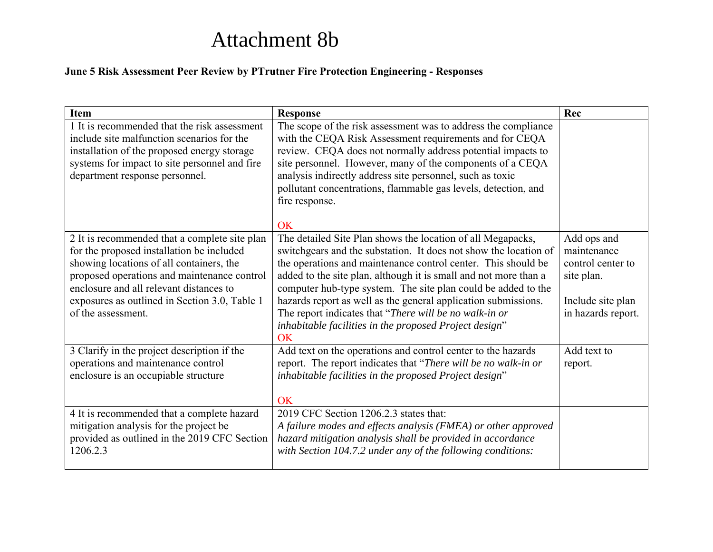# Attachment 8b

# **June 5 Risk Assessment Peer Review by PTrutner Fire Protection Engineering - Responses**

| <b>Item</b>                                                                                                                                                                                                                                                                                             | <b>Response</b>                                                                                                                                                                                                                                                                                                                                                                                                                                                                                                                   | Rec                                                                                                      |
|---------------------------------------------------------------------------------------------------------------------------------------------------------------------------------------------------------------------------------------------------------------------------------------------------------|-----------------------------------------------------------------------------------------------------------------------------------------------------------------------------------------------------------------------------------------------------------------------------------------------------------------------------------------------------------------------------------------------------------------------------------------------------------------------------------------------------------------------------------|----------------------------------------------------------------------------------------------------------|
| 1 It is recommended that the risk assessment<br>include site malfunction scenarios for the<br>installation of the proposed energy storage<br>systems for impact to site personnel and fire<br>department response personnel.                                                                            | The scope of the risk assessment was to address the compliance<br>with the CEQA Risk Assessment requirements and for CEQA<br>review. CEQA does not normally address potential impacts to<br>site personnel. However, many of the components of a CEQA<br>analysis indirectly address site personnel, such as toxic<br>pollutant concentrations, flammable gas levels, detection, and<br>fire response.                                                                                                                            |                                                                                                          |
|                                                                                                                                                                                                                                                                                                         | <b>OK</b>                                                                                                                                                                                                                                                                                                                                                                                                                                                                                                                         |                                                                                                          |
| 2 It is recommended that a complete site plan<br>for the proposed installation be included<br>showing locations of all containers, the<br>proposed operations and maintenance control<br>enclosure and all relevant distances to<br>exposures as outlined in Section 3.0, Table 1<br>of the assessment. | The detailed Site Plan shows the location of all Megapacks,<br>switchgears and the substation. It does not show the location of<br>the operations and maintenance control center. This should be<br>added to the site plan, although it is small and not more than a<br>computer hub-type system. The site plan could be added to the<br>hazards report as well as the general application submissions.<br>The report indicates that "There will be no walk-in or<br>inhabitable facilities in the proposed Project design"<br>OK | Add ops and<br>maintenance<br>control center to<br>site plan.<br>Include site plan<br>in hazards report. |
| 3 Clarify in the project description if the<br>operations and maintenance control<br>enclosure is an occupiable structure                                                                                                                                                                               | Add text on the operations and control center to the hazards<br>report. The report indicates that "There will be no walk-in or<br>inhabitable facilities in the proposed Project design"<br><b>OK</b>                                                                                                                                                                                                                                                                                                                             | Add text to<br>report.                                                                                   |
| 4 It is recommended that a complete hazard<br>mitigation analysis for the project be<br>provided as outlined in the 2019 CFC Section<br>1206.2.3                                                                                                                                                        | 2019 CFC Section 1206.2.3 states that:<br>A failure modes and effects analysis (FMEA) or other approved<br>hazard mitigation analysis shall be provided in accordance<br>with Section 104.7.2 under any of the following conditions:                                                                                                                                                                                                                                                                                              |                                                                                                          |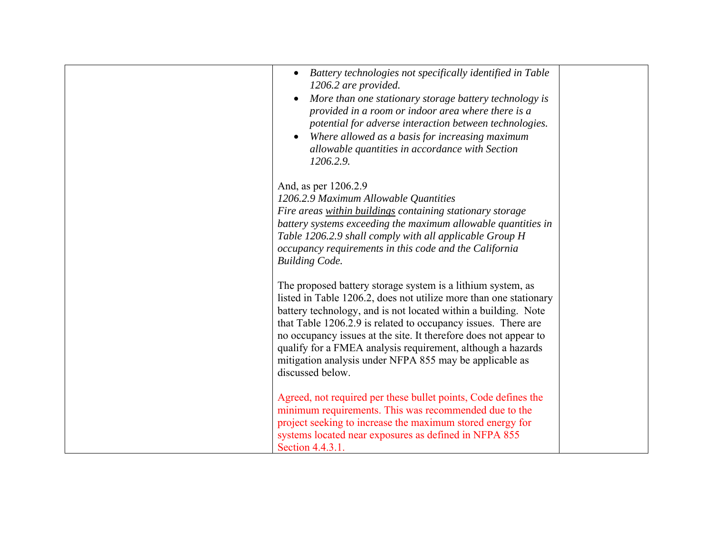| Battery technologies not specifically identified in Table<br>$\bullet$<br>1206.2 are provided.<br>More than one stationary storage battery technology is<br>provided in a room or indoor area where there is a<br>potential for adverse interaction between technologies.<br>Where allowed as a basis for increasing maximum<br>allowable quantities in accordance with Section<br>1206.2.9.                                                                                          |  |
|---------------------------------------------------------------------------------------------------------------------------------------------------------------------------------------------------------------------------------------------------------------------------------------------------------------------------------------------------------------------------------------------------------------------------------------------------------------------------------------|--|
|                                                                                                                                                                                                                                                                                                                                                                                                                                                                                       |  |
| And, as per 1206.2.9                                                                                                                                                                                                                                                                                                                                                                                                                                                                  |  |
| 1206.2.9 Maximum Allowable Quantities                                                                                                                                                                                                                                                                                                                                                                                                                                                 |  |
| Fire areas within buildings containing stationary storage                                                                                                                                                                                                                                                                                                                                                                                                                             |  |
| battery systems exceeding the maximum allowable quantities in                                                                                                                                                                                                                                                                                                                                                                                                                         |  |
| Table 1206.2.9 shall comply with all applicable Group H<br>occupancy requirements in this code and the California                                                                                                                                                                                                                                                                                                                                                                     |  |
| <b>Building Code.</b>                                                                                                                                                                                                                                                                                                                                                                                                                                                                 |  |
|                                                                                                                                                                                                                                                                                                                                                                                                                                                                                       |  |
| The proposed battery storage system is a lithium system, as<br>listed in Table 1206.2, does not utilize more than one stationary<br>battery technology, and is not located within a building. Note<br>that Table 1206.2.9 is related to occupancy issues. There are<br>no occupancy issues at the site. It therefore does not appear to<br>qualify for a FMEA analysis requirement, although a hazards<br>mitigation analysis under NFPA 855 may be applicable as<br>discussed below. |  |
| Agreed, not required per these bullet points, Code defines the<br>minimum requirements. This was recommended due to the<br>project seeking to increase the maximum stored energy for<br>systems located near exposures as defined in NFPA 855<br>Section 4.4.3.1.                                                                                                                                                                                                                     |  |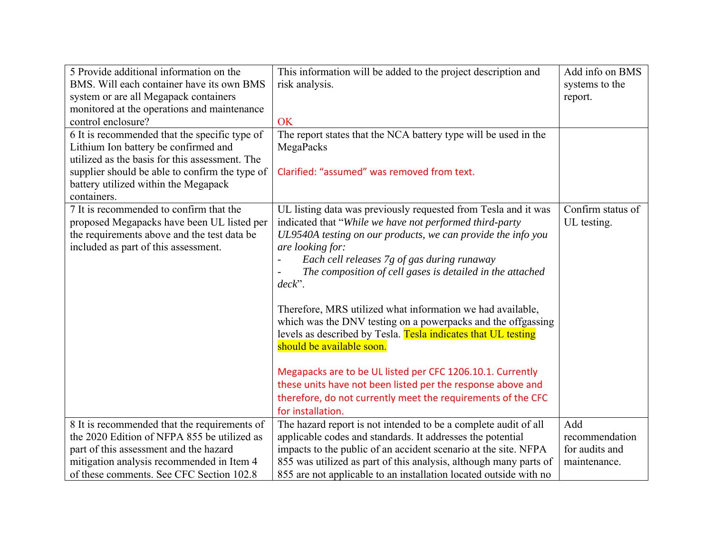| 5 Provide additional information on the        | This information will be added to the project description and     | Add info on BMS   |
|------------------------------------------------|-------------------------------------------------------------------|-------------------|
| BMS. Will each container have its own BMS      | risk analysis.                                                    | systems to the    |
| system or are all Megapack containers          |                                                                   | report.           |
| monitored at the operations and maintenance    |                                                                   |                   |
| control enclosure?                             | OK                                                                |                   |
| 6 It is recommended that the specific type of  | The report states that the NCA battery type will be used in the   |                   |
| Lithium Ion battery be confirmed and           | MegaPacks                                                         |                   |
| utilized as the basis for this assessment. The |                                                                   |                   |
| supplier should be able to confirm the type of | Clarified: "assumed" was removed from text.                       |                   |
| battery utilized within the Megapack           |                                                                   |                   |
| containers.                                    |                                                                   |                   |
| 7 It is recommended to confirm that the        | UL listing data was previously requested from Tesla and it was    | Confirm status of |
| proposed Megapacks have been UL listed per     | indicated that "While we have not performed third-party           | UL testing.       |
| the requirements above and the test data be    | UL9540A testing on our products, we can provide the info you      |                   |
| included as part of this assessment.           | are looking for:                                                  |                   |
|                                                | Each cell releases 7g of gas during runaway                       |                   |
|                                                | The composition of cell gases is detailed in the attached         |                   |
|                                                | $deck$ ".                                                         |                   |
|                                                |                                                                   |                   |
|                                                | Therefore, MRS utilized what information we had available,        |                   |
|                                                | which was the DNV testing on a powerpacks and the offgassing      |                   |
|                                                | levels as described by Tesla. Tesla indicates that UL testing     |                   |
|                                                | should be available soon.                                         |                   |
|                                                |                                                                   |                   |
|                                                | Megapacks are to be UL listed per CFC 1206.10.1. Currently        |                   |
|                                                | these units have not been listed per the response above and       |                   |
|                                                | therefore, do not currently meet the requirements of the CFC      |                   |
|                                                | for installation.                                                 |                   |
| 8 It is recommended that the requirements of   | The hazard report is not intended to be a complete audit of all   | Add               |
| the 2020 Edition of NFPA 855 be utilized as    | applicable codes and standards. It addresses the potential        | recommendation    |
| part of this assessment and the hazard         | impacts to the public of an accident scenario at the site. NFPA   | for audits and    |
| mitigation analysis recommended in Item 4      | 855 was utilized as part of this analysis, although many parts of | maintenance.      |
| of these comments. See CFC Section 102.8       | 855 are not applicable to an installation located outside with no |                   |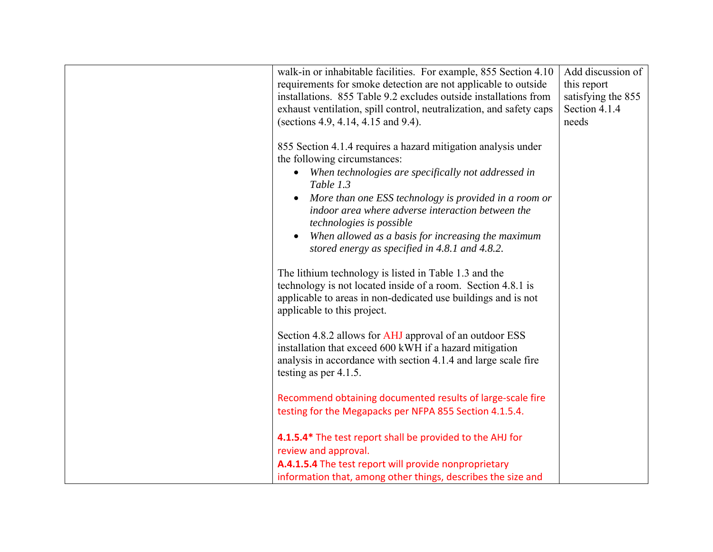| walk-in or inhabitable facilities. For example, 855 Section 4.10<br>requirements for smoke detection are not applicable to outside<br>installations. 855 Table 9.2 excludes outside installations from<br>exhaust ventilation, spill control, neutralization, and safety caps<br>(sections 4.9, 4.14, 4.15 and 9.4).                       | Add discussion of<br>this report<br>satisfying the 855<br>Section 4.1.4<br>needs |
|--------------------------------------------------------------------------------------------------------------------------------------------------------------------------------------------------------------------------------------------------------------------------------------------------------------------------------------------|----------------------------------------------------------------------------------|
| 855 Section 4.1.4 requires a hazard mitigation analysis under<br>the following circumstances:<br>When technologies are specifically not addressed in<br>$\bullet$<br>Table 1.3<br>More than one ESS technology is provided in a room or<br>$\bullet$<br>indoor area where adverse interaction between the<br>technologies is possible      |                                                                                  |
| When allowed as a basis for increasing the maximum<br>$\bullet$<br>stored energy as specified in 4.8.1 and 4.8.2.<br>The lithium technology is listed in Table 1.3 and the<br>technology is not located inside of a room. Section 4.8.1 is<br>applicable to areas in non-dedicated use buildings and is not<br>applicable to this project. |                                                                                  |
| Section 4.8.2 allows for AHJ approval of an outdoor ESS<br>installation that exceed 600 kWH if a hazard mitigation<br>analysis in accordance with section 4.1.4 and large scale fire<br>testing as per 4.1.5.                                                                                                                              |                                                                                  |
| Recommend obtaining documented results of large-scale fire<br>testing for the Megapacks per NFPA 855 Section 4.1.5.4.<br>4.1.5.4* The test report shall be provided to the AHJ for                                                                                                                                                         |                                                                                  |
| review and approval.<br>A.4.1.5.4 The test report will provide nonproprietary<br>information that, among other things, describes the size and                                                                                                                                                                                              |                                                                                  |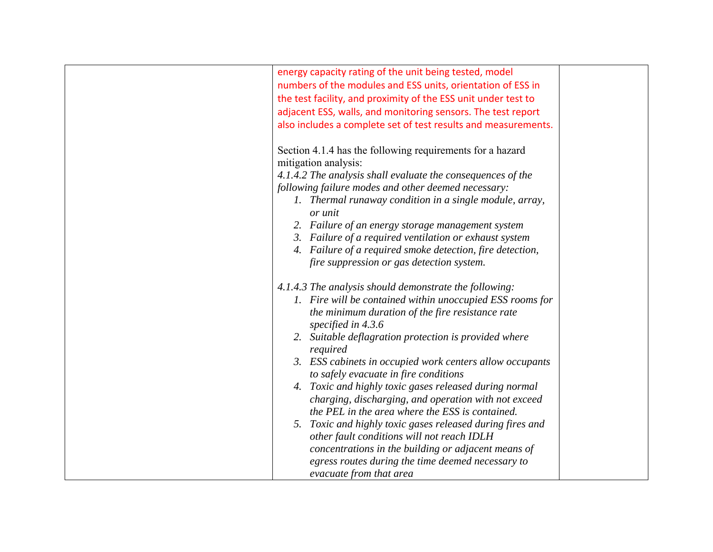| energy capacity rating of the unit being tested, model         |  |
|----------------------------------------------------------------|--|
| numbers of the modules and ESS units, orientation of ESS in    |  |
| the test facility, and proximity of the ESS unit under test to |  |
| adjacent ESS, walls, and monitoring sensors. The test report   |  |
| also includes a complete set of test results and measurements. |  |
|                                                                |  |
| Section 4.1.4 has the following requirements for a hazard      |  |
| mitigation analysis:                                           |  |
| 4.1.4.2 The analysis shall evaluate the consequences of the    |  |
| following failure modes and other deemed necessary:            |  |
| 1. Thermal runaway condition in a single module, array,        |  |
| or unit                                                        |  |
| 2. Failure of an energy storage management system              |  |
| 3. Failure of a required ventilation or exhaust system         |  |
| 4. Failure of a required smoke detection, fire detection,      |  |
| fire suppression or gas detection system.                      |  |
|                                                                |  |
| 4.1.4.3 The analysis should demonstrate the following:         |  |
| 1. Fire will be contained within unoccupied ESS rooms for      |  |
| the minimum duration of the fire resistance rate               |  |
| specified in 4.3.6                                             |  |
| 2. Suitable deflagration protection is provided where          |  |
| required                                                       |  |
| 3. ESS cabinets in occupied work centers allow occupants       |  |
| to safely evacuate in fire conditions                          |  |
| 4. Toxic and highly toxic gases released during normal         |  |
| charging, discharging, and operation with not exceed           |  |
| the PEL in the area where the ESS is contained.                |  |
| 5. Toxic and highly toxic gases released during fires and      |  |
| other fault conditions will not reach IDLH                     |  |
| concentrations in the building or adjacent means of            |  |
| egress routes during the time deemed necessary to              |  |
| evacuate from that area                                        |  |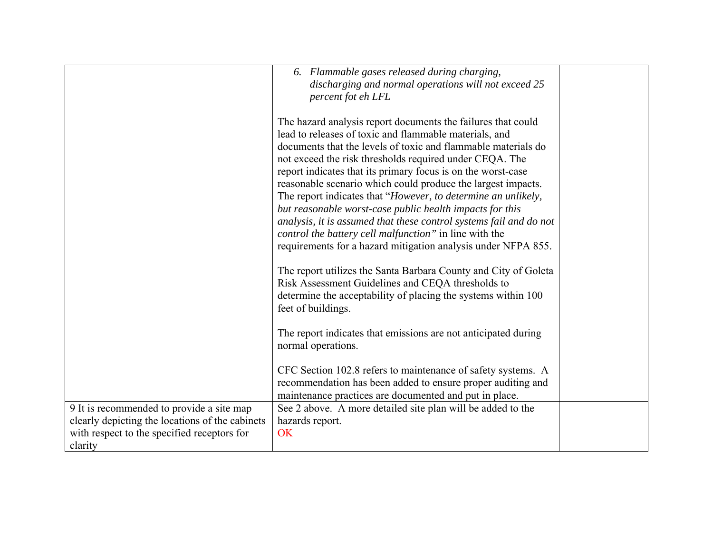|                                                                                                                                                        | 6. Flammable gases released during charging,<br>discharging and normal operations will not exceed 25<br>percent fot eh LFL                                                                                                                                                                                                                                                                                                                                                                                                                                                                                                                                                                                       |  |
|--------------------------------------------------------------------------------------------------------------------------------------------------------|------------------------------------------------------------------------------------------------------------------------------------------------------------------------------------------------------------------------------------------------------------------------------------------------------------------------------------------------------------------------------------------------------------------------------------------------------------------------------------------------------------------------------------------------------------------------------------------------------------------------------------------------------------------------------------------------------------------|--|
|                                                                                                                                                        | The hazard analysis report documents the failures that could<br>lead to releases of toxic and flammable materials, and<br>documents that the levels of toxic and flammable materials do<br>not exceed the risk thresholds required under CEQA. The<br>report indicates that its primary focus is on the worst-case<br>reasonable scenario which could produce the largest impacts.<br>The report indicates that "However, to determine an unlikely,<br>but reasonable worst-case public health impacts for this<br>analysis, it is assumed that these control systems fail and do not<br>control the battery cell malfunction" in line with the<br>requirements for a hazard mitigation analysis under NFPA 855. |  |
|                                                                                                                                                        | The report utilizes the Santa Barbara County and City of Goleta<br>Risk Assessment Guidelines and CEQA thresholds to<br>determine the acceptability of placing the systems within 100<br>feet of buildings.                                                                                                                                                                                                                                                                                                                                                                                                                                                                                                      |  |
|                                                                                                                                                        | The report indicates that emissions are not anticipated during<br>normal operations.                                                                                                                                                                                                                                                                                                                                                                                                                                                                                                                                                                                                                             |  |
|                                                                                                                                                        | CFC Section 102.8 refers to maintenance of safety systems. A<br>recommendation has been added to ensure proper auditing and<br>maintenance practices are documented and put in place.                                                                                                                                                                                                                                                                                                                                                                                                                                                                                                                            |  |
| 9 It is recommended to provide a site map<br>clearly depicting the locations of the cabinets<br>with respect to the specified receptors for<br>clarity | See 2 above. A more detailed site plan will be added to the<br>hazards report.<br><b>OK</b>                                                                                                                                                                                                                                                                                                                                                                                                                                                                                                                                                                                                                      |  |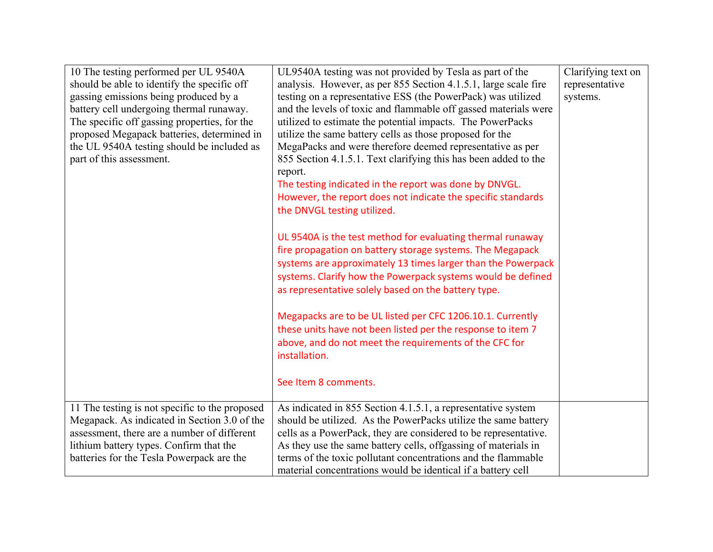| 10 The testing performed per UL 9540A<br>should be able to identify the specific off<br>gassing emissions being produced by a<br>battery cell undergoing thermal runaway.<br>The specific off gassing properties, for the<br>proposed Megapack batteries, determined in<br>the UL 9540A testing should be included as<br>part of this assessment. | UL9540A testing was not provided by Tesla as part of the<br>analysis. However, as per 855 Section 4.1.5.1, large scale fire<br>testing on a representative ESS (the PowerPack) was utilized<br>and the levels of toxic and flammable off gassed materials were<br>utilized to estimate the potential impacts. The PowerPacks<br>utilize the same battery cells as those proposed for the<br>MegaPacks and were therefore deemed representative as per<br>855 Section 4.1.5.1. Text clarifying this has been added to the<br>report.<br>The testing indicated in the report was done by DNVGL.<br>However, the report does not indicate the specific standards<br>the DNVGL testing utilized.<br>UL 9540A is the test method for evaluating thermal runaway<br>fire propagation on battery storage systems. The Megapack<br>systems are approximately 13 times larger than the Powerpack<br>systems. Clarify how the Powerpack systems would be defined | Clarifying text on<br>representative<br>systems. |
|---------------------------------------------------------------------------------------------------------------------------------------------------------------------------------------------------------------------------------------------------------------------------------------------------------------------------------------------------|--------------------------------------------------------------------------------------------------------------------------------------------------------------------------------------------------------------------------------------------------------------------------------------------------------------------------------------------------------------------------------------------------------------------------------------------------------------------------------------------------------------------------------------------------------------------------------------------------------------------------------------------------------------------------------------------------------------------------------------------------------------------------------------------------------------------------------------------------------------------------------------------------------------------------------------------------------|--------------------------------------------------|
|                                                                                                                                                                                                                                                                                                                                                   | Megapacks are to be UL listed per CFC 1206.10.1. Currently<br>these units have not been listed per the response to item 7<br>above, and do not meet the requirements of the CFC for<br>installation.<br>See Item 8 comments.                                                                                                                                                                                                                                                                                                                                                                                                                                                                                                                                                                                                                                                                                                                           |                                                  |
| 11 The testing is not specific to the proposed<br>Megapack. As indicated in Section 3.0 of the<br>assessment, there are a number of different<br>lithium battery types. Confirm that the<br>batteries for the Tesla Powerpack are the                                                                                                             | As indicated in 855 Section 4.1.5.1, a representative system<br>should be utilized. As the PowerPacks utilize the same battery<br>cells as a PowerPack, they are considered to be representative.<br>As they use the same battery cells, offgassing of materials in<br>terms of the toxic pollutant concentrations and the flammable<br>material concentrations would be identical if a battery cell                                                                                                                                                                                                                                                                                                                                                                                                                                                                                                                                                   |                                                  |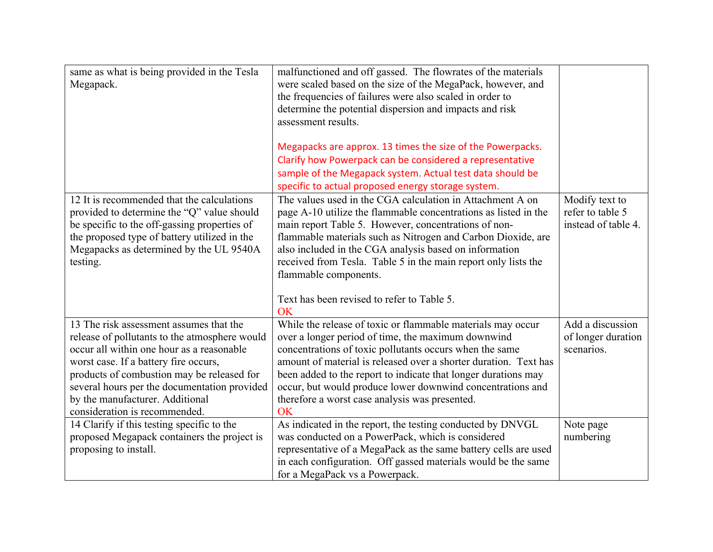| same as what is being provided in the Tesla<br>Megapack.                                                                                                                                                                                                                                                                                         | malfunctioned and off gassed. The flowrates of the materials<br>were scaled based on the size of the MegaPack, however, and<br>the frequencies of failures were also scaled in order to<br>determine the potential dispersion and impacts and risk<br>assessment results.                                                                                                                                                                |                                                           |
|--------------------------------------------------------------------------------------------------------------------------------------------------------------------------------------------------------------------------------------------------------------------------------------------------------------------------------------------------|------------------------------------------------------------------------------------------------------------------------------------------------------------------------------------------------------------------------------------------------------------------------------------------------------------------------------------------------------------------------------------------------------------------------------------------|-----------------------------------------------------------|
|                                                                                                                                                                                                                                                                                                                                                  | Megapacks are approx. 13 times the size of the Powerpacks.<br>Clarify how Powerpack can be considered a representative                                                                                                                                                                                                                                                                                                                   |                                                           |
|                                                                                                                                                                                                                                                                                                                                                  | sample of the Megapack system. Actual test data should be                                                                                                                                                                                                                                                                                                                                                                                |                                                           |
|                                                                                                                                                                                                                                                                                                                                                  | specific to actual proposed energy storage system.                                                                                                                                                                                                                                                                                                                                                                                       |                                                           |
| 12 It is recommended that the calculations<br>provided to determine the "Q" value should<br>be specific to the off-gassing properties of<br>the proposed type of battery utilized in the<br>Megapacks as determined by the UL 9540A<br>testing.                                                                                                  | The values used in the CGA calculation in Attachment A on<br>page A-10 utilize the flammable concentrations as listed in the<br>main report Table 5. However, concentrations of non-<br>flammable materials such as Nitrogen and Carbon Dioxide, are<br>also included in the CGA analysis based on information<br>received from Tesla. Table 5 in the main report only lists the<br>flammable components.                                | Modify text to<br>refer to table 5<br>instead of table 4. |
|                                                                                                                                                                                                                                                                                                                                                  | Text has been revised to refer to Table 5.<br>OK                                                                                                                                                                                                                                                                                                                                                                                         |                                                           |
| 13 The risk assessment assumes that the<br>release of pollutants to the atmosphere would<br>occur all within one hour as a reasonable<br>worst case. If a battery fire occurs,<br>products of combustion may be released for<br>several hours per the documentation provided<br>by the manufacturer. Additional<br>consideration is recommended. | While the release of toxic or flammable materials may occur<br>over a longer period of time, the maximum downwind<br>concentrations of toxic pollutants occurs when the same<br>amount of material is released over a shorter duration. Text has<br>been added to the report to indicate that longer durations may<br>occur, but would produce lower downwind concentrations and<br>therefore a worst case analysis was presented.<br>OK | Add a discussion<br>of longer duration<br>scenarios.      |
| 14 Clarify if this testing specific to the<br>proposed Megapack containers the project is<br>proposing to install.                                                                                                                                                                                                                               | As indicated in the report, the testing conducted by DNVGL<br>was conducted on a PowerPack, which is considered<br>representative of a MegaPack as the same battery cells are used<br>in each configuration. Off gassed materials would be the same<br>for a MegaPack vs a Powerpack.                                                                                                                                                    | Note page<br>numbering                                    |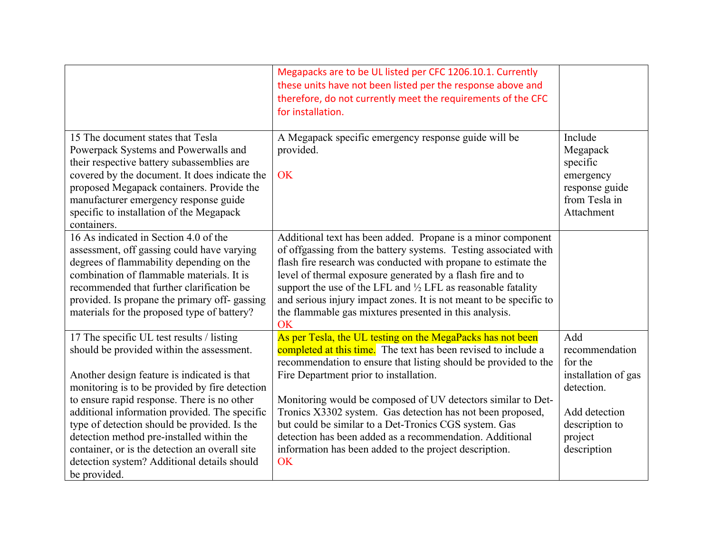|                                                                                                                                                                                                                                                                                                                                         | Megapacks are to be UL listed per CFC 1206.10.1. Currently<br>these units have not been listed per the response above and<br>therefore, do not currently meet the requirements of the CFC<br>for installation.                                                                                                                                                                                                                                                                          |                                                                                                          |
|-----------------------------------------------------------------------------------------------------------------------------------------------------------------------------------------------------------------------------------------------------------------------------------------------------------------------------------------|-----------------------------------------------------------------------------------------------------------------------------------------------------------------------------------------------------------------------------------------------------------------------------------------------------------------------------------------------------------------------------------------------------------------------------------------------------------------------------------------|----------------------------------------------------------------------------------------------------------|
| 15 The document states that Tesla<br>Powerpack Systems and Powerwalls and<br>their respective battery subassemblies are<br>covered by the document. It does indicate the<br>proposed Megapack containers. Provide the<br>manufacturer emergency response guide<br>specific to installation of the Megapack<br>containers.               | A Megapack specific emergency response guide will be<br>provided.<br>OK                                                                                                                                                                                                                                                                                                                                                                                                                 | Include<br>Megapack<br>specific<br>emergency<br>response guide<br>from Tesla in<br>Attachment            |
| 16 As indicated in Section 4.0 of the<br>assessment, off gassing could have varying<br>degrees of flammability depending on the<br>combination of flammable materials. It is<br>recommended that further clarification be<br>provided. Is propane the primary off-gassing<br>materials for the proposed type of battery?                | Additional text has been added. Propane is a minor component<br>of offgassing from the battery systems. Testing associated with<br>flash fire research was conducted with propane to estimate the<br>level of thermal exposure generated by a flash fire and to<br>support the use of the LFL and $\frac{1}{2}$ LFL as reasonable fatality<br>and serious injury impact zones. It is not meant to be specific to<br>the flammable gas mixtures presented in this analysis.<br><b>OK</b> |                                                                                                          |
| 17 The specific UL test results / listing<br>should be provided within the assessment.<br>Another design feature is indicated is that<br>monitoring is to be provided by fire detection<br>to ensure rapid response. There is no other<br>additional information provided. The specific<br>type of detection should be provided. Is the | As per Tesla, the UL testing on the MegaPacks has not been<br>completed at this time. The text has been revised to include a<br>recommendation to ensure that listing should be provided to the<br>Fire Department prior to installation.<br>Monitoring would be composed of UV detectors similar to Det-<br>Tronics X3302 system. Gas detection has not been proposed,<br>but could be similar to a Det-Tronics CGS system. Gas                                                        | Add<br>recommendation<br>for the<br>installation of gas<br>detection.<br>Add detection<br>description to |
| detection method pre-installed within the<br>container, or is the detection an overall site<br>detection system? Additional details should<br>be provided.                                                                                                                                                                              | detection has been added as a recommendation. Additional<br>information has been added to the project description.<br>OK                                                                                                                                                                                                                                                                                                                                                                | project<br>description                                                                                   |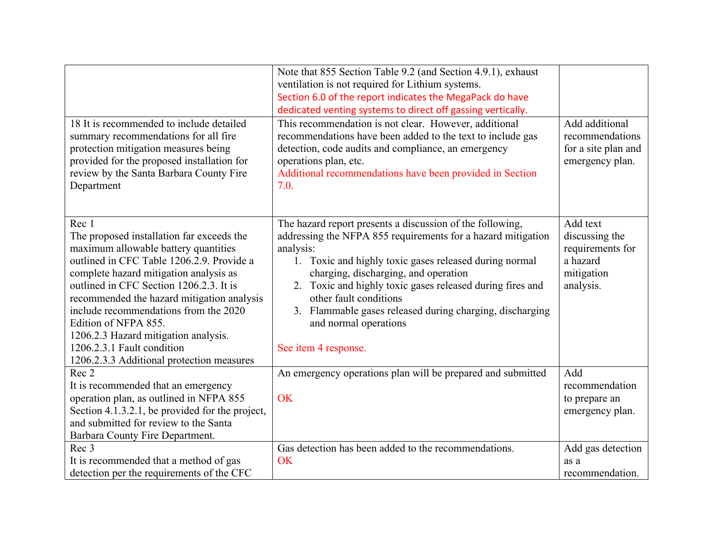|                                                 | Note that 855 Section Table 9.2 (and Section 4.9.1), exhaust |                     |
|-------------------------------------------------|--------------------------------------------------------------|---------------------|
|                                                 | ventilation is not required for Lithium systems.             |                     |
|                                                 | Section 6.0 of the report indicates the MegaPack do have     |                     |
|                                                 | dedicated venting systems to direct off gassing vertically.  |                     |
| 18 It is recommended to include detailed        | This recommendation is not clear. However, additional        | Add additional      |
| summary recommendations for all fire            | recommendations have been added to the text to include gas   | recommendations     |
| protection mitigation measures being            | detection, code audits and compliance, an emergency          | for a site plan and |
| provided for the proposed installation for      | operations plan, etc.                                        | emergency plan.     |
| review by the Santa Barbara County Fire         | Additional recommendations have been provided in Section     |                     |
| Department                                      | 7.0.                                                         |                     |
|                                                 |                                                              |                     |
|                                                 |                                                              |                     |
| Rec 1                                           | The hazard report presents a discussion of the following,    | Add text            |
| The proposed installation far exceeds the       | addressing the NFPA 855 requirements for a hazard mitigation | discussing the      |
| maximum allowable battery quantities            | analysis:                                                    | requirements for    |
| outlined in CFC Table 1206.2.9. Provide a       | 1. Toxic and highly toxic gases released during normal       | a hazard            |
| complete hazard mitigation analysis as          | charging, discharging, and operation                         | mitigation          |
| outlined in CFC Section 1206.2.3. It is         | 2. Toxic and highly toxic gases released during fires and    | analysis.           |
| recommended the hazard mitigation analysis      | other fault conditions                                       |                     |
| include recommendations from the 2020           | 3. Flammable gases released during charging, discharging     |                     |
| Edition of NFPA 855.                            | and normal operations                                        |                     |
| 1206.2.3 Hazard mitigation analysis.            |                                                              |                     |
| 1206.2.3.1 Fault condition                      | See item 4 response.                                         |                     |
| 1206.2.3.3 Additional protection measures       |                                                              |                     |
| Rec 2                                           | An emergency operations plan will be prepared and submitted  | Add                 |
| It is recommended that an emergency             |                                                              | recommendation      |
| operation plan, as outlined in NFPA 855         | OK                                                           | to prepare an       |
| Section 4.1.3.2.1, be provided for the project, |                                                              | emergency plan.     |
| and submitted for review to the Santa           |                                                              |                     |
| Barbara County Fire Department.                 |                                                              |                     |
| Rec 3                                           | Gas detection has been added to the recommendations.         | Add gas detection   |
| It is recommended that a method of gas          | OK                                                           | as a                |
| detection per the requirements of the CFC       |                                                              | recommendation.     |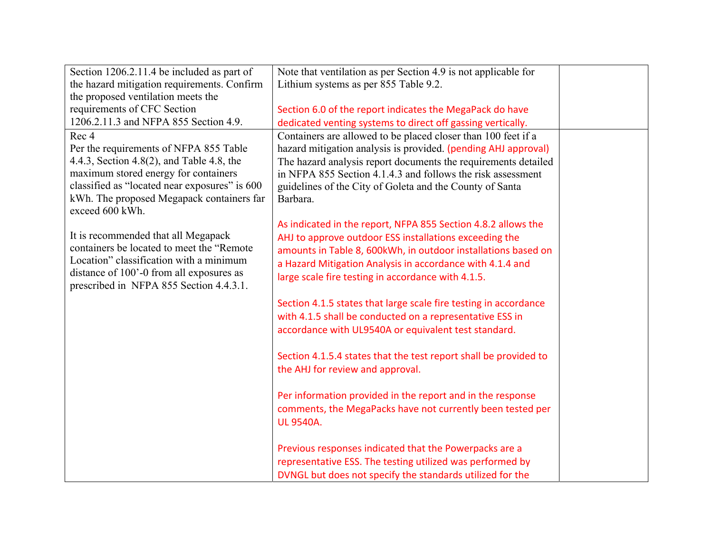| Section 1206.2.11.4 be included as part of    | Note that ventilation as per Section 4.9 is not applicable for   |  |
|-----------------------------------------------|------------------------------------------------------------------|--|
| the hazard mitigation requirements. Confirm   | Lithium systems as per 855 Table 9.2.                            |  |
| the proposed ventilation meets the            |                                                                  |  |
| requirements of CFC Section                   | Section 6.0 of the report indicates the MegaPack do have         |  |
| 1206.2.11.3 and NFPA 855 Section 4.9.         | dedicated venting systems to direct off gassing vertically.      |  |
| Rec 4                                         | Containers are allowed to be placed closer than 100 feet if a    |  |
| Per the requirements of NFPA 855 Table        | hazard mitigation analysis is provided. (pending AHJ approval)   |  |
| 4.4.3, Section 4.8(2), and Table 4.8, the     | The hazard analysis report documents the requirements detailed   |  |
| maximum stored energy for containers          | in NFPA 855 Section 4.1.4.3 and follows the risk assessment      |  |
| classified as "located near exposures" is 600 | guidelines of the City of Goleta and the County of Santa         |  |
| kWh. The proposed Megapack containers far     | Barbara.                                                         |  |
| exceed 600 kWh.                               |                                                                  |  |
|                                               | As indicated in the report, NFPA 855 Section 4.8.2 allows the    |  |
| It is recommended that all Megapack           | AHJ to approve outdoor ESS installations exceeding the           |  |
| containers be located to meet the "Remote"    | amounts in Table 8, 600kWh, in outdoor installations based on    |  |
| Location" classification with a minimum       | a Hazard Mitigation Analysis in accordance with 4.1.4 and        |  |
| distance of 100'-0 from all exposures as      | large scale fire testing in accordance with 4.1.5.               |  |
| prescribed in NFPA 855 Section 4.4.3.1.       |                                                                  |  |
|                                               | Section 4.1.5 states that large scale fire testing in accordance |  |
|                                               | with 4.1.5 shall be conducted on a representative ESS in         |  |
|                                               | accordance with UL9540A or equivalent test standard.             |  |
|                                               |                                                                  |  |
|                                               | Section 4.1.5.4 states that the test report shall be provided to |  |
|                                               | the AHJ for review and approval.                                 |  |
|                                               |                                                                  |  |
|                                               | Per information provided in the report and in the response       |  |
|                                               | comments, the MegaPacks have not currently been tested per       |  |
|                                               | <b>UL 9540A.</b>                                                 |  |
|                                               |                                                                  |  |
|                                               | Previous responses indicated that the Powerpacks are a           |  |
|                                               | representative ESS. The testing utilized was performed by        |  |
|                                               | DVNGL but does not specify the standards utilized for the        |  |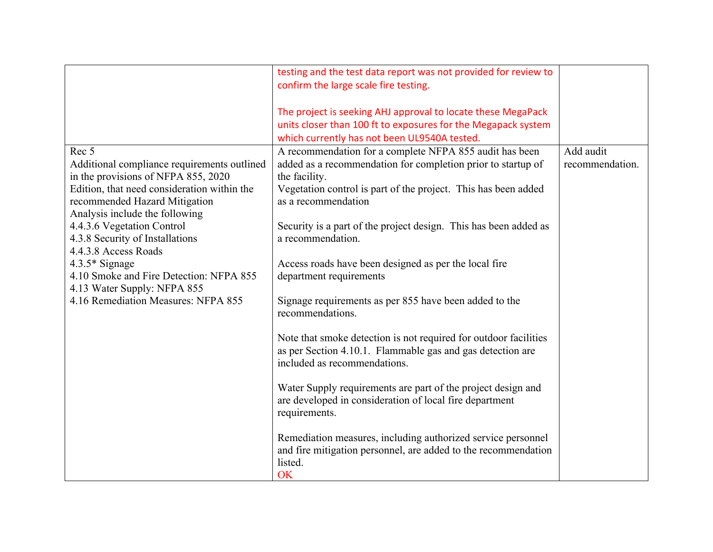|                                                             | testing and the test data report was not provided for review to  |                 |
|-------------------------------------------------------------|------------------------------------------------------------------|-----------------|
|                                                             | confirm the large scale fire testing.                            |                 |
|                                                             |                                                                  |                 |
|                                                             | The project is seeking AHJ approval to locate these MegaPack     |                 |
|                                                             | units closer than 100 ft to exposures for the Megapack system    |                 |
|                                                             | which currently has not been UL9540A tested.                     |                 |
| Rec 5                                                       | A recommendation for a complete NFPA 855 audit has been          | Add audit       |
| Additional compliance requirements outlined                 | added as a recommendation for completion prior to startup of     | recommendation. |
| in the provisions of NFPA 855, 2020                         | the facility.                                                    |                 |
| Edition, that need consideration within the                 | Vegetation control is part of the project. This has been added   |                 |
| recommended Hazard Mitigation                               | as a recommendation                                              |                 |
| Analysis include the following                              |                                                                  |                 |
| 4.4.3.6 Vegetation Control                                  | Security is a part of the project design. This has been added as |                 |
| 4.3.8 Security of Installations                             | a recommendation.                                                |                 |
| 4.4.3.8 Access Roads                                        |                                                                  |                 |
| $4.3.5*$ Signage<br>4.10 Smoke and Fire Detection: NFPA 855 | Access roads have been designed as per the local fire            |                 |
| 4.13 Water Supply: NFPA 855                                 | department requirements                                          |                 |
| 4.16 Remediation Measures: NFPA 855                         | Signage requirements as per 855 have been added to the           |                 |
|                                                             | recommendations.                                                 |                 |
|                                                             |                                                                  |                 |
|                                                             | Note that smoke detection is not required for outdoor facilities |                 |
|                                                             | as per Section 4.10.1. Flammable gas and gas detection are       |                 |
|                                                             | included as recommendations.                                     |                 |
|                                                             |                                                                  |                 |
|                                                             | Water Supply requirements are part of the project design and     |                 |
|                                                             | are developed in consideration of local fire department          |                 |
|                                                             | requirements.                                                    |                 |
|                                                             |                                                                  |                 |
|                                                             | Remediation measures, including authorized service personnel     |                 |
|                                                             | and fire mitigation personnel, are added to the recommendation   |                 |
|                                                             | listed.                                                          |                 |
|                                                             | OK                                                               |                 |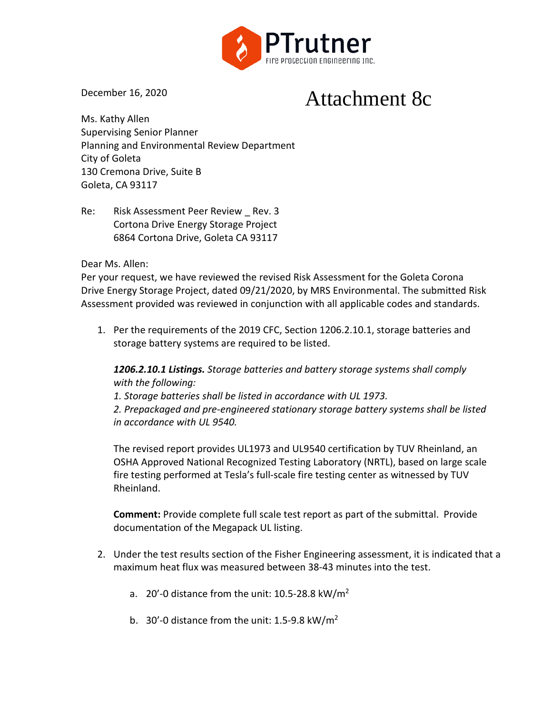

December 16, 2020

# Attachment 8c

Ms. Kathy Allen Supervising Senior Planner Planning and Environmental Review Department City of Goleta 130 Cremona Drive, Suite B Goleta, CA 93117

Re: Risk Assessment Peer Review Rev. 3 Cortona Drive Energy Storage Project 6864 Cortona Drive, Goleta CA 93117

# Dear Ms. Allen:

Per your request, we have reviewed the revised Risk Assessment for the Goleta Corona Drive Energy Storage Project, dated 09/21/2020, by MRS Environmental. The submitted Risk Assessment provided was reviewed in conjunction with all applicable codes and standards.

1. Per the requirements of the 2019 CFC, Section 1206.2.10.1, storage batteries and storage battery systems are required to be listed.

*1206.2.10.1 Listings. Storage batteries and battery storage systems shall comply with the following:*

*1. Storage batteries shall be listed in accordance with UL 1973.*

*2. Prepackaged and pre-engineered stationary storage battery systems shall be listed in accordance with UL 9540.*

The revised report provides UL1973 and UL9540 certification by TUV Rheinland, an OSHA Approved National Recognized Testing Laboratory (NRTL), based on large scale fire testing performed at Tesla's full-scale fire testing center as witnessed by TUV Rheinland.

**Comment:** Provide complete full scale test report as part of the submittal. Provide documentation of the Megapack UL listing.

- 2. Under the test results section of the Fisher Engineering assessment, it is indicated that a maximum heat flux was measured between 38-43 minutes into the test.
	- a. 20'-0 distance from the unit:  $10.5-28.8 \text{ kW/m}^2$
	- b. 30'-0 distance from the unit: 1.5-9.8 kW/m<sup>2</sup>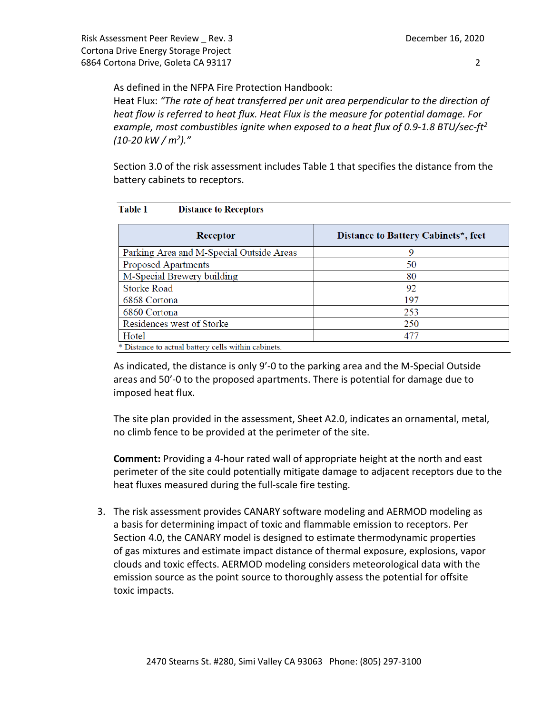As defined in the NFPA Fire Protection Handbook:

Heat Flux: *"The rate of heat transferred per unit area perpendicular to the direction of heat flow is referred to heat flux. Heat Flux is the measure for potential damage. For example, most combustibles ignite when exposed to a heat flux of 0.9-1.8 BTU/sec-ft2 (10-20 kW / m2)."*

Section 3.0 of the risk assessment includes Table 1 that specifies the distance from the battery cabinets to receptors.

| Receptor                                 | Distance to Battery Cabinets*, feet |
|------------------------------------------|-------------------------------------|
| Parking Area and M-Special Outside Areas | 9                                   |
| <b>Proposed Apartments</b>               | 50                                  |
| M-Special Brewery building               | 80                                  |
| <b>Storke Road</b>                       | 92                                  |
| 6868 Cortona                             | 197                                 |
| 6860 Cortona                             | 253                                 |
| Residences west of Storke                | 250                                 |
| Hotel                                    | 477                                 |

### Table 1 **Distance to Receptors**

As indicated, the distance is only 9'-0 to the parking area and the M-Special Outside areas and 50'-0 to the proposed apartments. There is potential for damage due to imposed heat flux.

The site plan provided in the assessment, Sheet A2.0, indicates an ornamental, metal, no climb fence to be provided at the perimeter of the site.

**Comment:** Providing a 4-hour rated wall of appropriate height at the north and east perimeter of the site could potentially mitigate damage to adjacent receptors due to the heat fluxes measured during the full-scale fire testing.

3. The risk assessment provides CANARY software modeling and AERMOD modeling as a basis for determining impact of toxic and flammable emission to receptors. Per Section 4.0, the CANARY model is designed to estimate thermodynamic properties of gas mixtures and estimate impact distance of thermal exposure, explosions, vapor clouds and toxic effects. AERMOD modeling considers meteorological data with the emission source as the point source to thoroughly assess the potential for offsite toxic impacts.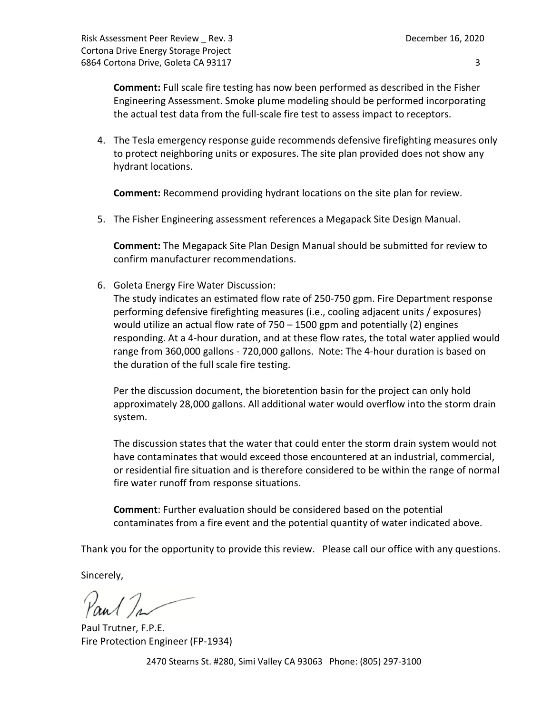**Comment:** Full scale fire testing has now been performed as described in the Fisher Engineering Assessment. Smoke plume modeling should be performed incorporating the actual test data from the full-scale fire test to assess impact to receptors.

4. The Tesla emergency response guide recommends defensive firefighting measures only to protect neighboring units or exposures. The site plan provided does not show any hydrant locations.

**Comment:** Recommend providing hydrant locations on the site plan for review.

5. The Fisher Engineering assessment references a Megapack Site Design Manual.

**Comment:** The Megapack Site Plan Design Manual should be submitted for review to confirm manufacturer recommendations.

6. Goleta Energy Fire Water Discussion:

The study indicates an estimated flow rate of 250-750 gpm. Fire Department response performing defensive firefighting measures (i.e., cooling adjacent units / exposures) would utilize an actual flow rate of 750 – 1500 gpm and potentially (2) engines responding. At a 4-hour duration, and at these flow rates, the total water applied would range from 360,000 gallons - 720,000 gallons. Note: The 4-hour duration is based on the duration of the full scale fire testing.

Per the discussion document, the bioretention basin for the project can only hold approximately 28,000 gallons. All additional water would overflow into the storm drain system.

The discussion states that the water that could enter the storm drain system would not have contaminates that would exceed those encountered at an industrial, commercial, or residential fire situation and is therefore considered to be within the range of normal fire water runoff from response situations.

**Comment**: Further evaluation should be considered based on the potential contaminates from a fire event and the potential quantity of water indicated above.

Thank you for the opportunity to provide this review. Please call our office with any questions.

Sincerely,

Paul In

Paul Trutner, F.P.E. Fire Protection Engineer (FP-1934)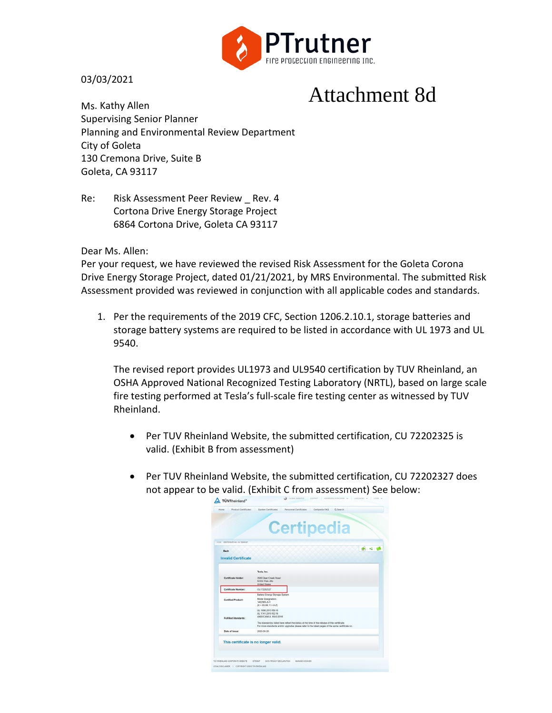

03/03/2021

# Attachment 8d

Ms. Kathy Allen Supervising Senior Planner Planning and Environmental Review Department City of Goleta 130 Cremona Drive, Suite B Goleta, CA 93117

Re: Risk Assessment Peer Review Rev. 4 Cortona Drive Energy Storage Project 6864 Cortona Drive, Goleta CA 93117

Dear Ms. Allen:

Per your request, we have reviewed the revised Risk Assessment for the Goleta Corona Drive Energy Storage Project, dated 01/21/2021, by MRS Environmental. The submitted Risk Assessment provided was reviewed in conjunction with all applicable codes and standards.

1. Per the requirements of the 2019 CFC, Section 1206.2.10.1, storage batteries and storage battery systems are required to be listed in accordance with UL 1973 and UL 9540.

The revised report provides UL1973 and UL9540 certification by TUV Rheinland, an OSHA Approved National Recognized Testing Laboratory (NRTL), based on large scale fire testing performed at Tesla's full-scale fire testing center as witnessed by TUV Rheinland.

- Per TUV Rheinland Website, the submitted certification, CU 72202325 is valid. (Exhibit B from assessment)
- Per TUV Rheinland Website, the submitted certification, CU 72202327 does not appear to be valid. (Exhibit C from assessment) See below:

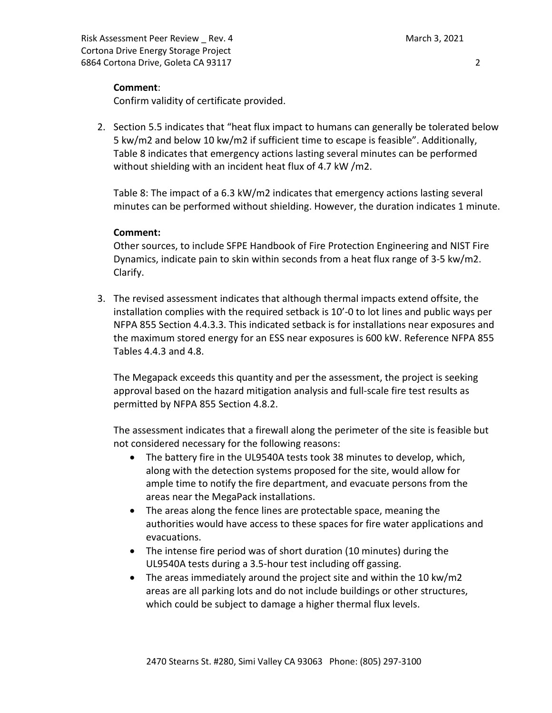Risk Assessment Peer Review \_ Rev. 4 March 3, 2021 Cortona Drive Energy Storage Project 6864 Cortona Drive, Goleta CA 93117 2

# **Comment**:

Confirm validity of certificate provided.

2. Section 5.5 indicates that "heat flux impact to humans can generally be tolerated below 5 kw/m2 and below 10 kw/m2 if sufficient time to escape is feasible". Additionally, Table 8 indicates that emergency actions lasting several minutes can be performed without shielding with an incident heat flux of 4.7 kW /m2.

Table 8: The impact of a 6.3 kW/m2 indicates that emergency actions lasting several minutes can be performed without shielding. However, the duration indicates 1 minute.

# **Comment:**

Other sources, to include SFPE Handbook of Fire Protection Engineering and NIST Fire Dynamics, indicate pain to skin within seconds from a heat flux range of 3-5 kw/m2. Clarify.

3. The revised assessment indicates that although thermal impacts extend offsite, the installation complies with the required setback is 10'-0 to lot lines and public ways per NFPA 855 Section 4.4.3.3. This indicated setback is for installations near exposures and the maximum stored energy for an ESS near exposures is 600 kW. Reference NFPA 855 Tables 4.4.3 and 4.8.

The Megapack exceeds this quantity and per the assessment, the project is seeking approval based on the hazard mitigation analysis and full-scale fire test results as permitted by NFPA 855 Section 4.8.2.

The assessment indicates that a firewall along the perimeter of the site is feasible but not considered necessary for the following reasons:

- The battery fire in the UL9540A tests took 38 minutes to develop, which, along with the detection systems proposed for the site, would allow for ample time to notify the fire department, and evacuate persons from the areas near the MegaPack installations.
- The areas along the fence lines are protectable space, meaning the authorities would have access to these spaces for fire water applications and evacuations.
- The intense fire period was of short duration (10 minutes) during the UL9540A tests during a 3.5-hour test including off gassing.
- The areas immediately around the project site and within the 10 kw/m2 areas are all parking lots and do not include buildings or other structures, which could be subject to damage a higher thermal flux levels.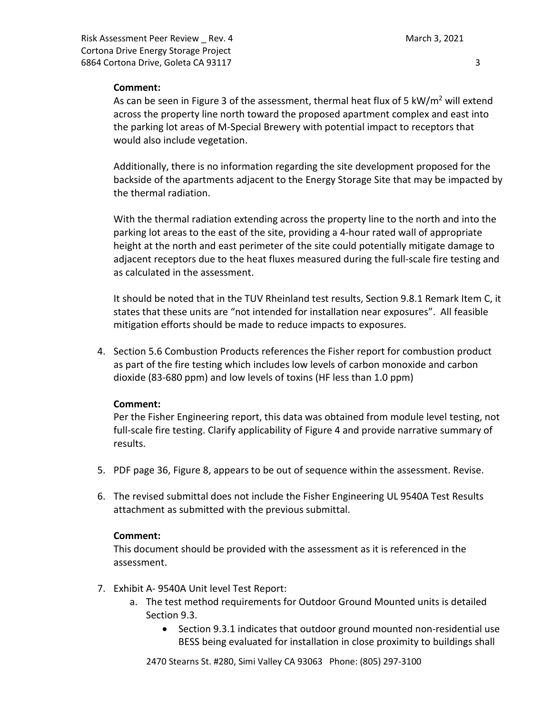### **Comment:**

As can be seen in Figure 3 of the assessment, thermal heat flux of 5 kW/ $m^2$  will extend across the property line north toward the proposed apartment complex and east into the parking lot areas of M-Special Brewery with potential impact to receptors that would also include vegetation.

Additionally, there is no information regarding the site development proposed for the backside of the apartments adjacent to the Energy Storage Site that may be impacted by the thermal radiation.

With the thermal radiation extending across the property line to the north and into the parking lot areas to the east of the site, providing a 4-hour rated wall of appropriate height at the north and east perimeter of the site could potentially mitigate damage to adjacent receptors due to the heat fluxes measured during the full-scale fire testing and as calculated in the assessment.

It should be noted that in the TUV Rheinland test results, Section 9.8.1 Remark Item C, it states that these units are "not intended for installation near exposures". All feasible mitigation efforts should be made to reduce impacts to exposures.

4. Section 5.6 Combustion Products references the Fisher report for combustion product as part of the fire testing which includes low levels of carbon monoxide and carbon dioxide (83-680 ppm) and low levels of toxins (HF less than 1.0 ppm)

# **Comment:**

Per the Fisher Engineering report, this data was obtained from module level testing, not full-scale fire testing. Clarify applicability of Figure 4 and provide narrative summary of results.

- 5. PDF page 36, Figure 8, appears to be out of sequence within the assessment. Revise.
- 6. The revised submittal does not include the Fisher Engineering UL 9540A Test Results attachment as submitted with the previous submittal.

### **Comment:**

This document should be provided with the assessment as it is referenced in the assessment.

- 7. Exhibit A- 9540A Unit level Test Report:
	- a. The test method requirements for Outdoor Ground Mounted units is detailed Section 9.3.
		- Section 9.3.1 indicates that outdoor ground mounted non-residential use BESS being evaluated for installation in close proximity to buildings shall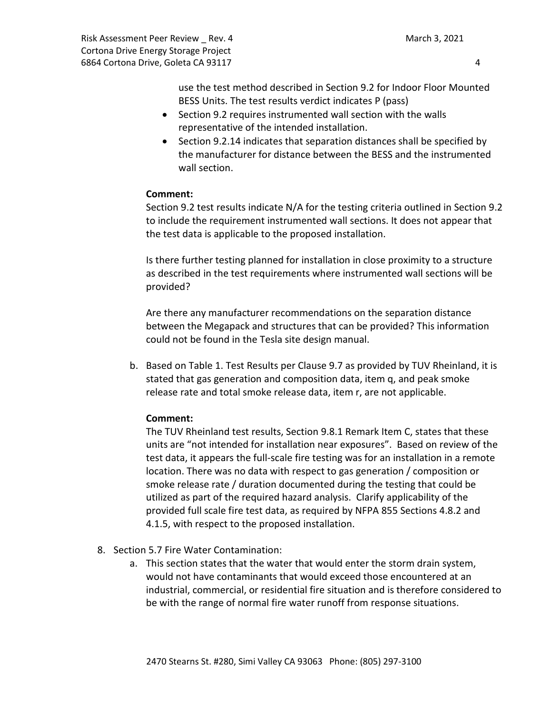Risk Assessment Peer Review \_ Rev. 4 March 3, 2021 Cortona Drive Energy Storage Project 6864 Cortona Drive, Goleta CA 93117 4

use the test method described in Section 9.2 for Indoor Floor Mounted BESS Units. The test results verdict indicates P (pass)

- Section 9.2 requires instrumented wall section with the walls representative of the intended installation.
- Section 9.2.14 indicates that separation distances shall be specified by the manufacturer for distance between the BESS and the instrumented wall section.

# **Comment:**

Section 9.2 test results indicate N/A for the testing criteria outlined in Section 9.2 to include the requirement instrumented wall sections. It does not appear that the test data is applicable to the proposed installation.

Is there further testing planned for installation in close proximity to a structure as described in the test requirements where instrumented wall sections will be provided?

Are there any manufacturer recommendations on the separation distance between the Megapack and structures that can be provided? This information could not be found in the Tesla site design manual.

b. Based on Table 1. Test Results per Clause 9.7 as provided by TUV Rheinland, it is stated that gas generation and composition data, item q, and peak smoke release rate and total smoke release data, item r, are not applicable.

# **Comment:**

The TUV Rheinland test results, Section 9.8.1 Remark Item C, states that these units are "not intended for installation near exposures". Based on review of the test data, it appears the full-scale fire testing was for an installation in a remote location. There was no data with respect to gas generation / composition or smoke release rate / duration documented during the testing that could be utilized as part of the required hazard analysis. Clarify applicability of the provided full scale fire test data, as required by NFPA 855 Sections 4.8.2 and 4.1.5, with respect to the proposed installation.

- 8. Section 5.7 Fire Water Contamination:
	- a. This section states that the water that would enter the storm drain system, would not have contaminants that would exceed those encountered at an industrial, commercial, or residential fire situation and is therefore considered to be with the range of normal fire water runoff from response situations.